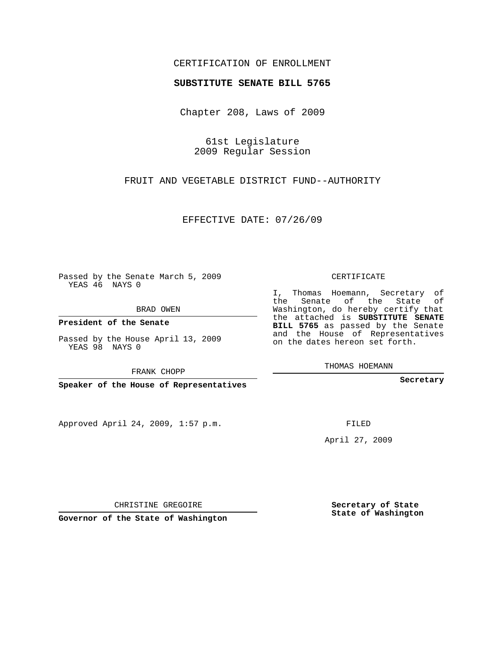## CERTIFICATION OF ENROLLMENT

## **SUBSTITUTE SENATE BILL 5765**

Chapter 208, Laws of 2009

61st Legislature 2009 Regular Session

FRUIT AND VEGETABLE DISTRICT FUND--AUTHORITY

EFFECTIVE DATE: 07/26/09

Passed by the Senate March 5, 2009 YEAS 46 NAYS 0

BRAD OWEN

**President of the Senate**

Passed by the House April 13, 2009 YEAS 98 NAYS 0

FRANK CHOPP

**Speaker of the House of Representatives**

Approved April 24, 2009, 1:57 p.m.

CERTIFICATE

I, Thomas Hoemann, Secretary of the Senate of the State of Washington, do hereby certify that the attached is **SUBSTITUTE SENATE BILL 5765** as passed by the Senate and the House of Representatives on the dates hereon set forth.

THOMAS HOEMANN

**Secretary**

FILED

April 27, 2009

CHRISTINE GREGOIRE

**Governor of the State of Washington**

**Secretary of State State of Washington**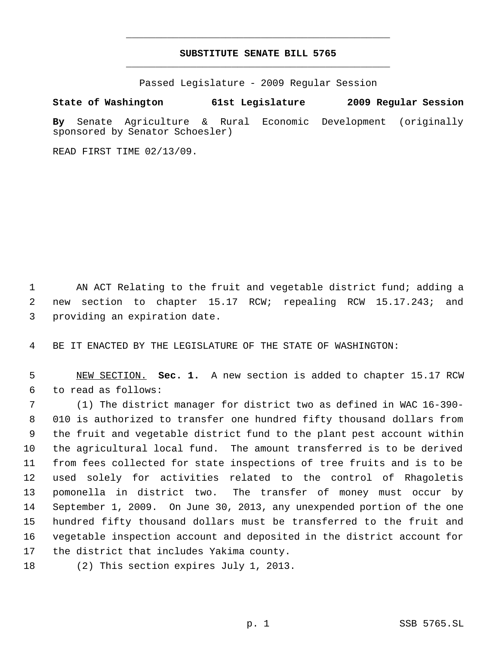## **SUBSTITUTE SENATE BILL 5765** \_\_\_\_\_\_\_\_\_\_\_\_\_\_\_\_\_\_\_\_\_\_\_\_\_\_\_\_\_\_\_\_\_\_\_\_\_\_\_\_\_\_\_\_\_

\_\_\_\_\_\_\_\_\_\_\_\_\_\_\_\_\_\_\_\_\_\_\_\_\_\_\_\_\_\_\_\_\_\_\_\_\_\_\_\_\_\_\_\_\_

Passed Legislature - 2009 Regular Session

## **State of Washington 61st Legislature 2009 Regular Session**

**By** Senate Agriculture & Rural Economic Development (originally sponsored by Senator Schoesler)

READ FIRST TIME 02/13/09.

 AN ACT Relating to the fruit and vegetable district fund; adding a new section to chapter 15.17 RCW; repealing RCW 15.17.243; and providing an expiration date.

BE IT ENACTED BY THE LEGISLATURE OF THE STATE OF WASHINGTON:

 NEW SECTION. **Sec. 1.** A new section is added to chapter 15.17 RCW to read as follows:

 (1) The district manager for district two as defined in WAC 16-390- 010 is authorized to transfer one hundred fifty thousand dollars from the fruit and vegetable district fund to the plant pest account within the agricultural local fund. The amount transferred is to be derived from fees collected for state inspections of tree fruits and is to be used solely for activities related to the control of Rhagoletis pomonella in district two. The transfer of money must occur by September 1, 2009. On June 30, 2013, any unexpended portion of the one hundred fifty thousand dollars must be transferred to the fruit and vegetable inspection account and deposited in the district account for the district that includes Yakima county.

(2) This section expires July 1, 2013.